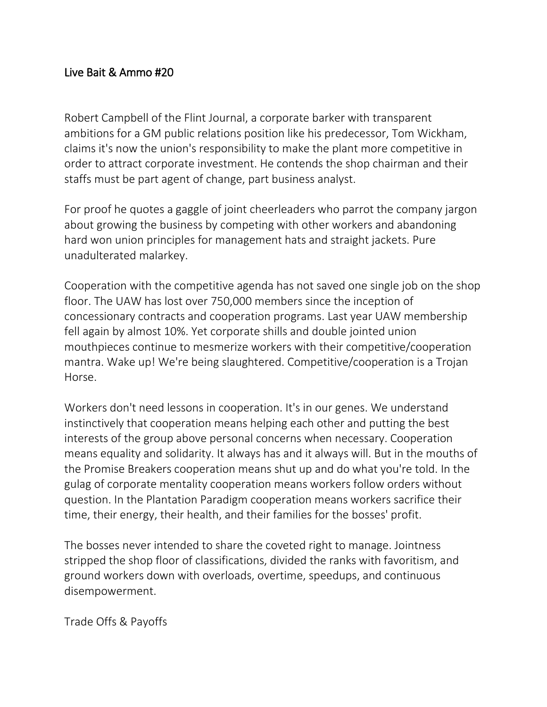## Live Bait & Ammo #20

Robert Campbell of the Flint Journal, a corporate barker with transparent ambitions for a GM public relations position like his predecessor, Tom Wickham, claims it's now the union's responsibility to make the plant more competitive in order to attract corporate investment. He contends the shop chairman and their staffs must be part agent of change, part business analyst.

For proof he quotes a gaggle of joint cheerleaders who parrot the company jargon about growing the business by competing with other workers and abandoning hard won union principles for management hats and straight jackets. Pure unadulterated malarkey.

Cooperation with the competitive agenda has not saved one single job on the shop floor. The UAW has lost over 750,000 members since the inception of concessionary contracts and cooperation programs. Last year UAW membership fell again by almost 10%. Yet corporate shills and double jointed union mouthpieces continue to mesmerize workers with their competitive/cooperation mantra. Wake up! We're being slaughtered. Competitive/cooperation is a Trojan Horse.

Workers don't need lessons in cooperation. It's in our genes. We understand instinctively that cooperation means helping each other and putting the best interests of the group above personal concerns when necessary. Cooperation means equality and solidarity. It always has and it always will. But in the mouths of the Promise Breakers cooperation means shut up and do what you're told. In the gulag of corporate mentality cooperation means workers follow orders without question. In the Plantation Paradigm cooperation means workers sacrifice their time, their energy, their health, and their families for the bosses' profit.

The bosses never intended to share the coveted right to manage. Jointness stripped the shop floor of classifications, divided the ranks with favoritism, and ground workers down with overloads, overtime, speedups, and continuous disempowerment.

Trade Offs & Payoffs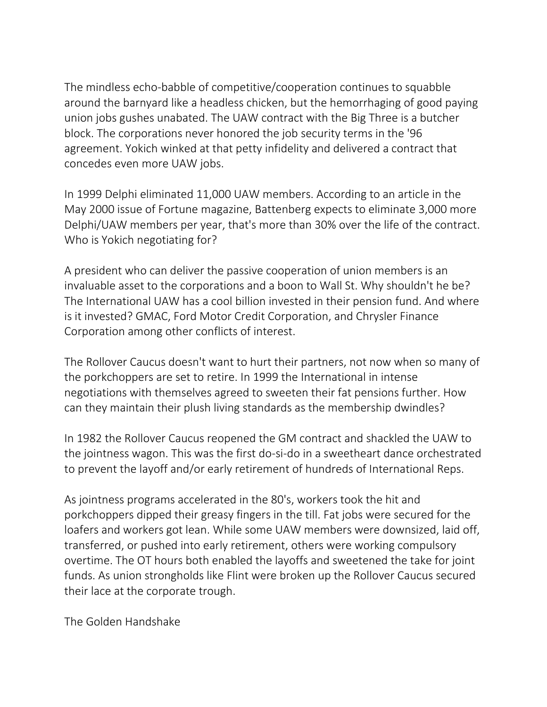The mindless echo-babble of competitive/cooperation continues to squabble around the barnyard like a headless chicken, but the hemorrhaging of good paying union jobs gushes unabated. The UAW contract with the Big Three is a butcher block. The corporations never honored the job security terms in the '96 agreement. Yokich winked at that petty infidelity and delivered a contract that concedes even more UAW jobs.

In 1999 Delphi eliminated 11,000 UAW members. According to an article in the May 2000 issue of Fortune magazine, Battenberg expects to eliminate 3,000 more Delphi/UAW members per year, that's more than 30% over the life of the contract. Who is Yokich negotiating for?

A president who can deliver the passive cooperation of union members is an invaluable asset to the corporations and a boon to Wall St. Why shouldn't he be? The International UAW has a cool billion invested in their pension fund. And where is it invested? GMAC, Ford Motor Credit Corporation, and Chrysler Finance Corporation among other conflicts of interest.

The Rollover Caucus doesn't want to hurt their partners, not now when so many of the porkchoppers are set to retire. In 1999 the International in intense negotiations with themselves agreed to sweeten their fat pensions further. How can they maintain their plush living standards as the membership dwindles?

In 1982 the Rollover Caucus reopened the GM contract and shackled the UAW to the jointness wagon. This was the first do-si-do in a sweetheart dance orchestrated to prevent the layoff and/or early retirement of hundreds of International Reps.

As jointness programs accelerated in the 80's, workers took the hit and porkchoppers dipped their greasy fingers in the till. Fat jobs were secured for the loafers and workers got lean. While some UAW members were downsized, laid off, transferred, or pushed into early retirement, others were working compulsory overtime. The OT hours both enabled the layoffs and sweetened the take for joint funds. As union strongholds like Flint were broken up the Rollover Caucus secured their lace at the corporate trough.

The Golden Handshake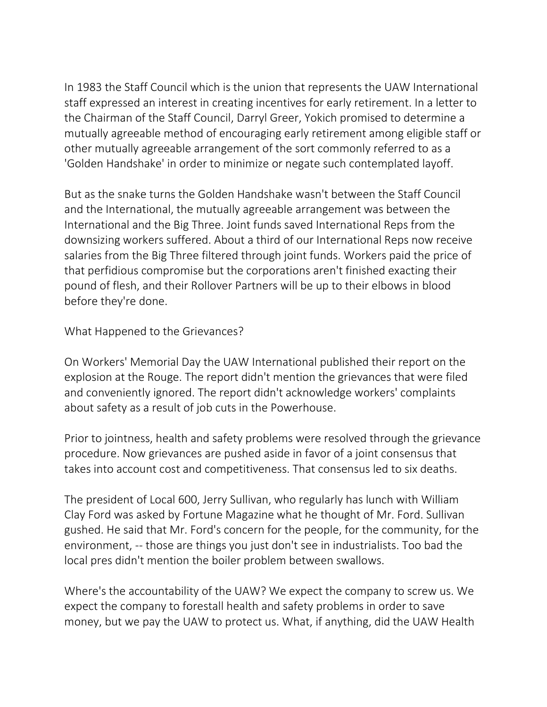In 1983 the Staff Council which is the union that represents the UAW International staff expressed an interest in creating incentives for early retirement. In a letter to the Chairman of the Staff Council, Darryl Greer, Yokich promised to determine a mutually agreeable method of encouraging early retirement among eligible staff or other mutually agreeable arrangement of the sort commonly referred to as a 'Golden Handshake' in order to minimize or negate such contemplated layoff.

But as the snake turns the Golden Handshake wasn't between the Staff Council and the International, the mutually agreeable arrangement was between the International and the Big Three. Joint funds saved International Reps from the downsizing workers suffered. About a third of our International Reps now receive salaries from the Big Three filtered through joint funds. Workers paid the price of that perfidious compromise but the corporations aren't finished exacting their pound of flesh, and their Rollover Partners will be up to their elbows in blood before they're done.

What Happened to the Grievances?

On Workers' Memorial Day the UAW International published their report on the explosion at the Rouge. The report didn't mention the grievances that were filed and conveniently ignored. The report didn't acknowledge workers' complaints about safety as a result of job cuts in the Powerhouse.

Prior to jointness, health and safety problems were resolved through the grievance procedure. Now grievances are pushed aside in favor of a joint consensus that takes into account cost and competitiveness. That consensus led to six deaths.

The president of Local 600, Jerry Sullivan, who regularly has lunch with William Clay Ford was asked by Fortune Magazine what he thought of Mr. Ford. Sullivan gushed. He said that Mr. Ford's concern for the people, for the community, for the environment, -- those are things you just don't see in industrialists. Too bad the local pres didn't mention the boiler problem between swallows.

Where's the accountability of the UAW? We expect the company to screw us. We expect the company to forestall health and safety problems in order to save money, but we pay the UAW to protect us. What, if anything, did the UAW Health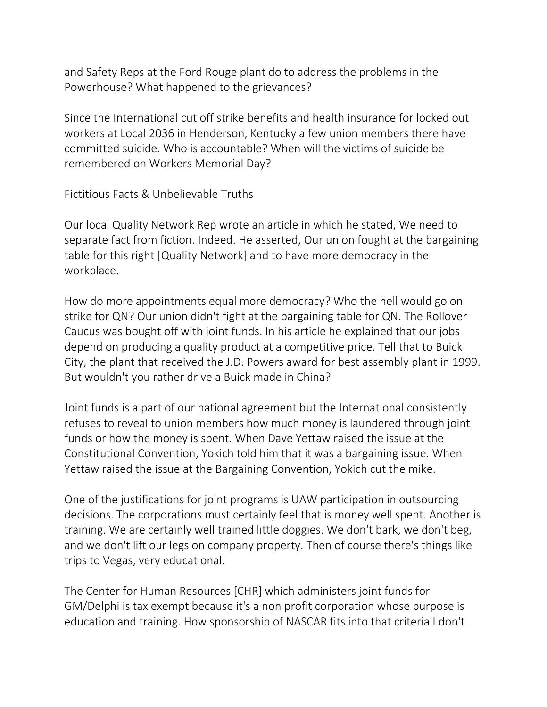and Safety Reps at the Ford Rouge plant do to address the problems in the Powerhouse? What happened to the grievances?

Since the International cut off strike benefits and health insurance for locked out workers at Local 2036 in Henderson, Kentucky a few union members there have committed suicide. Who is accountable? When will the victims of suicide be remembered on Workers Memorial Day?

Fictitious Facts & Unbelievable Truths

Our local Quality Network Rep wrote an article in which he stated, We need to separate fact from fiction. Indeed. He asserted, Our union fought at the bargaining table for this right [Quality Network] and to have more democracy in the workplace.

How do more appointments equal more democracy? Who the hell would go on strike for QN? Our union didn't fight at the bargaining table for QN. The Rollover Caucus was bought off with joint funds. In his article he explained that our jobs depend on producing a quality product at a competitive price. Tell that to Buick City, the plant that received the J.D. Powers award for best assembly plant in 1999. But wouldn't you rather drive a Buick made in China?

Joint funds is a part of our national agreement but the International consistently refuses to reveal to union members how much money is laundered through joint funds or how the money is spent. When Dave Yettaw raised the issue at the Constitutional Convention, Yokich told him that it was a bargaining issue. When Yettaw raised the issue at the Bargaining Convention, Yokich cut the mike.

One of the justifications for joint programs is UAW participation in outsourcing decisions. The corporations must certainly feel that is money well spent. Another is training. We are certainly well trained little doggies. We don't bark, we don't beg, and we don't lift our legs on company property. Then of course there's things like trips to Vegas, very educational.

The Center for Human Resources [CHR] which administers joint funds for GM/Delphi is tax exempt because it's a non profit corporation whose purpose is education and training. How sponsorship of NASCAR fits into that criteria I don't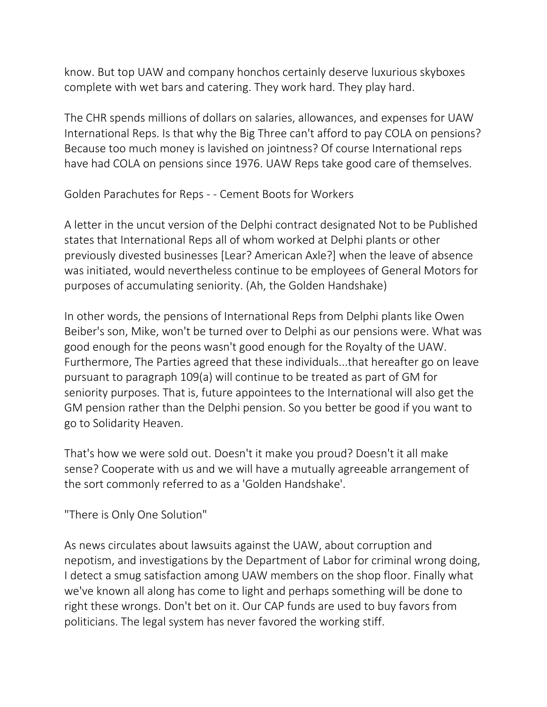know. But top UAW and company honchos certainly deserve luxurious skyboxes complete with wet bars and catering. They work hard. They play hard.

The CHR spends millions of dollars on salaries, allowances, and expenses for UAW International Reps. Is that why the Big Three can't afford to pay COLA on pensions? Because too much money is lavished on jointness? Of course International reps have had COLA on pensions since 1976. UAW Reps take good care of themselves.

Golden Parachutes for Reps - - Cement Boots for Workers

A letter in the uncut version of the Delphi contract designated Not to be Published states that International Reps all of whom worked at Delphi plants or other previously divested businesses [Lear? American Axle?] when the leave of absence was initiated, would nevertheless continue to be employees of General Motors for purposes of accumulating seniority. (Ah, the Golden Handshake)

In other words, the pensions of International Reps from Delphi plants like Owen Beiber's son, Mike, won't be turned over to Delphi as our pensions were. What was good enough for the peons wasn't good enough for the Royalty of the UAW. Furthermore, The Parties agreed that these individuals...that hereafter go on leave pursuant to paragraph 109(a) will continue to be treated as part of GM for seniority purposes. That is, future appointees to the International will also get the GM pension rather than the Delphi pension. So you better be good if you want to go to Solidarity Heaven.

That's how we were sold out. Doesn't it make you proud? Doesn't it all make sense? Cooperate with us and we will have a mutually agreeable arrangement of the sort commonly referred to as a 'Golden Handshake'.

"There is Only One Solution"

As news circulates about lawsuits against the UAW, about corruption and nepotism, and investigations by the Department of Labor for criminal wrong doing, I detect a smug satisfaction among UAW members on the shop floor. Finally what we've known all along has come to light and perhaps something will be done to right these wrongs. Don't bet on it. Our CAP funds are used to buy favors from politicians. The legal system has never favored the working stiff.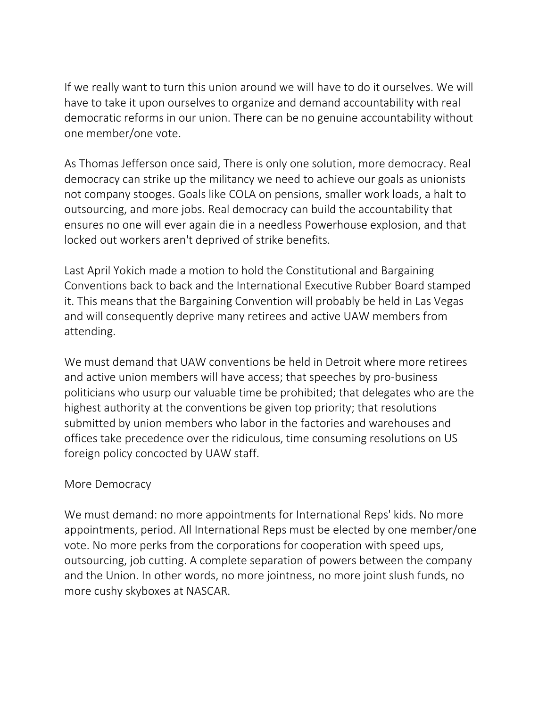If we really want to turn this union around we will have to do it ourselves. We will have to take it upon ourselves to organize and demand accountability with real democratic reforms in our union. There can be no genuine accountability without one member/one vote.

As Thomas Jefferson once said, There is only one solution, more democracy. Real democracy can strike up the militancy we need to achieve our goals as unionists not company stooges. Goals like COLA on pensions, smaller work loads, a halt to outsourcing, and more jobs. Real democracy can build the accountability that ensures no one will ever again die in a needless Powerhouse explosion, and that locked out workers aren't deprived of strike benefits.

Last April Yokich made a motion to hold the Constitutional and Bargaining Conventions back to back and the International Executive Rubber Board stamped it. This means that the Bargaining Convention will probably be held in Las Vegas and will consequently deprive many retirees and active UAW members from attending.

We must demand that UAW conventions be held in Detroit where more retirees and active union members will have access; that speeches by pro-business politicians who usurp our valuable time be prohibited; that delegates who are the highest authority at the conventions be given top priority; that resolutions submitted by union members who labor in the factories and warehouses and offices take precedence over the ridiculous, time consuming resolutions on US foreign policy concocted by UAW staff.

## More Democracy

We must demand: no more appointments for International Reps' kids. No more appointments, period. All International Reps must be elected by one member/one vote. No more perks from the corporations for cooperation with speed ups, outsourcing, job cutting. A complete separation of powers between the company and the Union. In other words, no more jointness, no more joint slush funds, no more cushy skyboxes at NASCAR.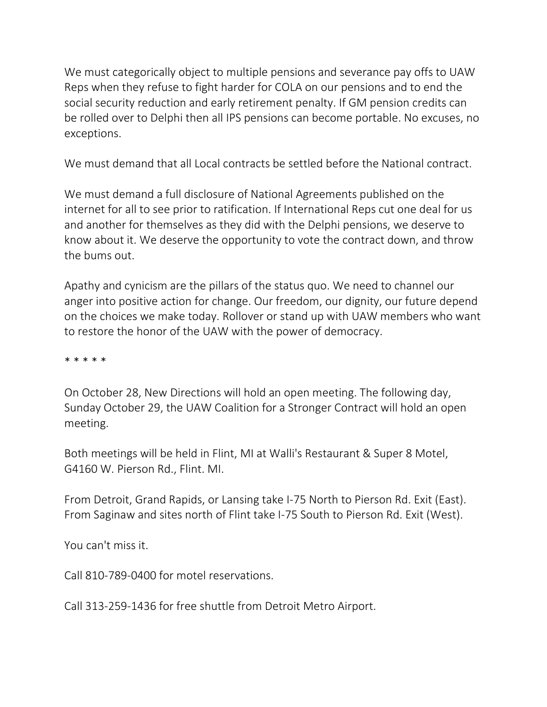We must categorically object to multiple pensions and severance pay offs to UAW Reps when they refuse to fight harder for COLA on our pensions and to end the social security reduction and early retirement penalty. If GM pension credits can be rolled over to Delphi then all IPS pensions can become portable. No excuses, no exceptions.

We must demand that all Local contracts be settled before the National contract.

We must demand a full disclosure of National Agreements published on the internet for all to see prior to ratification. If International Reps cut one deal for us and another for themselves as they did with the Delphi pensions, we deserve to know about it. We deserve the opportunity to vote the contract down, and throw the bums out.

Apathy and cynicism are the pillars of the status quo. We need to channel our anger into positive action for change. Our freedom, our dignity, our future depend on the choices we make today. Rollover or stand up with UAW members who want to restore the honor of the UAW with the power of democracy.

\* \* \* \* \*

On October 28, New Directions will hold an open meeting. The following day, Sunday October 29, the UAW Coalition for a Stronger Contract will hold an open meeting.

Both meetings will be held in Flint, MI at Walli's Restaurant & Super 8 Motel, G4160 W. Pierson Rd., Flint. MI.

From Detroit, Grand Rapids, or Lansing take I-75 North to Pierson Rd. Exit (East). From Saginaw and sites north of Flint take I-75 South to Pierson Rd. Exit (West).

You can't miss it.

Call 810-789-0400 for motel reservations.

Call 313-259-1436 for free shuttle from Detroit Metro Airport.